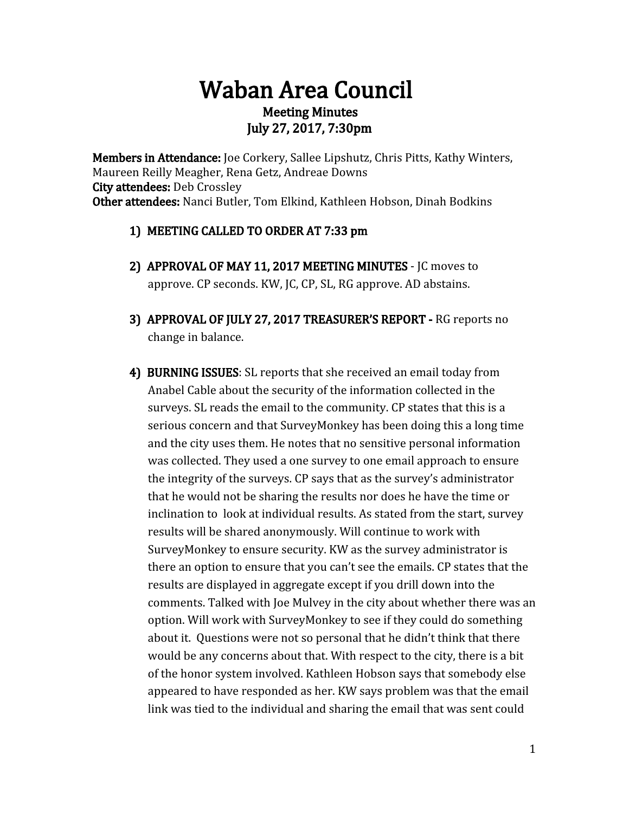# Waban Area Council Meeting Minutes July 27, 2017, 7:30pm

Members in Attendance: Joe Corkery, Sallee Lipshutz, Chris Pitts, Kathy Winters, Maureen Reilly Meagher, Rena Getz, Andreae Downs City attendees: Deb Crossley Other attendees: Nanci Butler, Tom Elkind, Kathleen Hobson, Dinah Bodkins

- 1) MEETING CALLED TO ORDER AT 7:33 pm
- 2) APPROVAL OF MAY 11, 2017 MEETING MINUTES JC moves to approve. CP seconds. KW, JC, CP, SL, RG approve. AD abstains.
- 3) APPROVAL OF JULY 27, 2017 TREASURER'S REPORT RG reports no change in balance.
- 4) BURNING ISSUES: SL reports that she received an email today from Anabel Cable about the security of the information collected in the surveys. SL reads the email to the community. CP states that this is a serious concern and that SurveyMonkey has been doing this a long time and the city uses them. He notes that no sensitive personal information was collected. They used a one survey to one email approach to ensure the integrity of the surveys. CP says that as the survey's administrator that he would not be sharing the results nor does he have the time or inclination to look at individual results. As stated from the start, survey results will be shared anonymously. Will continue to work with SurveyMonkey to ensure security. KW as the survey administrator is there an option to ensure that you can't see the emails. CP states that the results are displayed in aggregate except if you drill down into the comments. Talked with Joe Mulvey in the city about whether there was an option. Will work with SurveyMonkey to see if they could do something about it. Questions were not so personal that he didn't think that there would be any concerns about that. With respect to the city, there is a bit of the honor system involved. Kathleen Hobson says that somebody else appeared to have responded as her. KW says problem was that the email link was tied to the individual and sharing the email that was sent could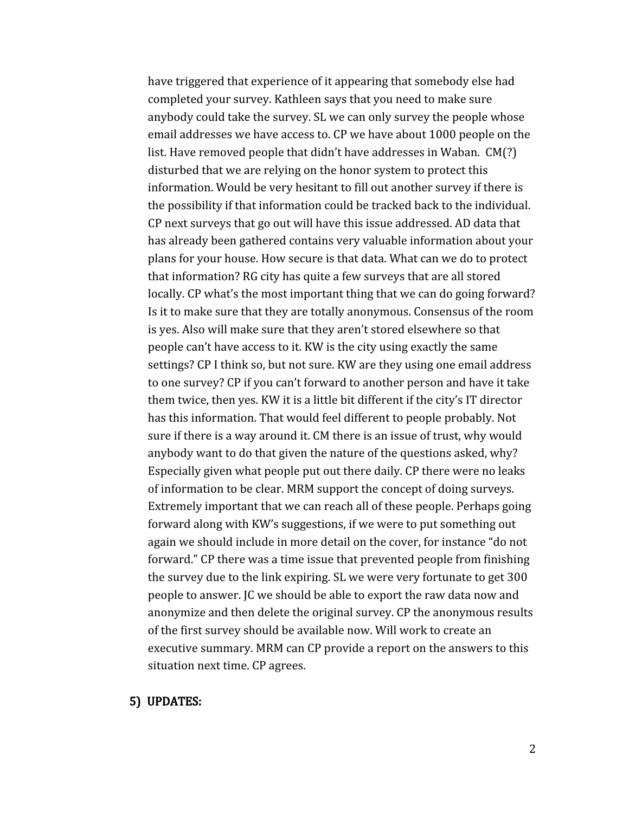have triggered that experience of it appearing that somebody else had completed your survey. Kathleen says that you need to make sure anybody could take the survey. SL we can only survey the people whose email addresses we have access to. CP we have about 1000 people on the list. Have removed people that didn't have addresses in Waban. CM(?) disturbed that we are relying on the honor system to protect this information. Would be very hesitant to fill out another survey if there is the possibility if that information could be tracked back to the individual. CP next surveys that go out will have this issue addressed. AD data that has already been gathered contains very valuable information about your plans for your house. How secure is that data. What can we do to protect that information? RG city has quite a few surveys that are all stored locally. CP what's the most important thing that we can do going forward? Is it to make sure that they are totally anonymous. Consensus of the room is yes. Also will make sure that they aren't stored elsewhere so that people can't have access to it. KW is the city using exactly the same settings? CP I think so, but not sure. KW are they using one email address to one survey? CP if you can't forward to another person and have it take them twice, then yes. KW it is a little bit different if the city's IT director has this information. That would feel different to people probably. Not sure if there is a way around it. CM there is an issue of trust, why would anybody want to do that given the nature of the questions asked, why? Especially given what people put out there daily. CP there were no leaks of information to be clear. MRM support the concept of doing surveys. Extremely important that we can reach all of these people. Perhaps going forward along with KW's suggestions, if we were to put something out again we should include in more detail on the cover, for instance "do not forward." CP there was a time issue that prevented people from finishing the survey due to the link expiring. SL we were very fortunate to get 300 people to answer. JC we should be able to export the raw data now and anonymize and then delete the original survey. CP the anonymous results of the first survey should be available now. Will work to create an executive summary. MRM can CP provide a report on the answers to this situation next time. CP agrees.

#### 5) UPDATES: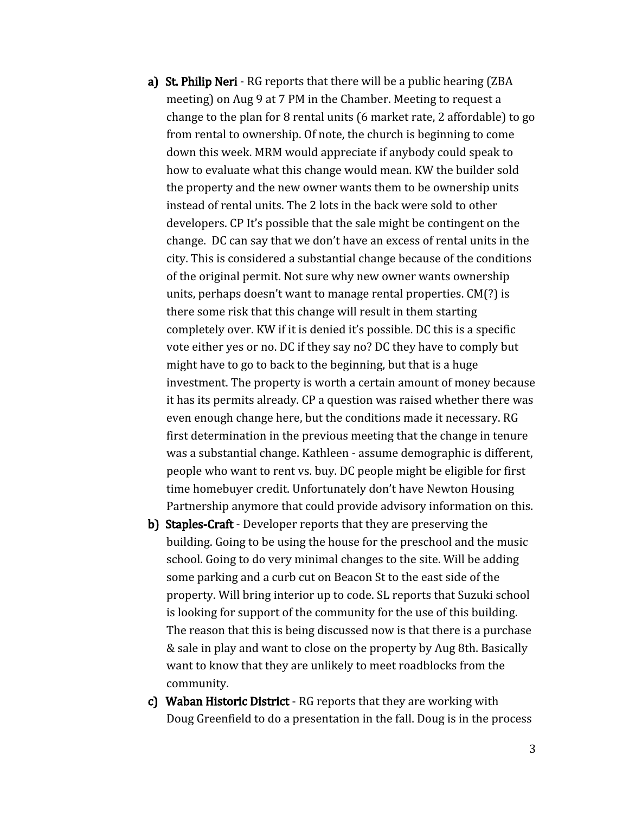- a) St. Philip Neri RG reports that there will be a public hearing (ZBA meeting) on Aug 9 at 7 PM in the Chamber. Meeting to request a change to the plan for 8 rental units (6 market rate, 2 affordable) to go from rental to ownership. Of note, the church is beginning to come down this week. MRM would appreciate if anybody could speak to how to evaluate what this change would mean. KW the builder sold the property and the new owner wants them to be ownership units instead of rental units. The 2 lots in the back were sold to other developers. CP It's possible that the sale might be contingent on the change. DC can say that we don't have an excess of rental units in the city. This is considered a substantial change because of the conditions of the original permit. Not sure why new owner wants ownership units, perhaps doesn't want to manage rental properties. CM(?) is there some risk that this change will result in them starting completely over. KW if it is denied it's possible. DC this is a specific vote either yes or no. DC if they say no? DC they have to comply but might have to go to back to the beginning, but that is a huge investment. The property is worth a certain amount of money because it has its permits already. CP a question was raised whether there was even enough change here, but the conditions made it necessary. RG first determination in the previous meeting that the change in tenure was a substantial change. Kathleen - assume demographic is different, people who want to rent vs. buy. DC people might be eligible for first time homebuyer credit. Unfortunately don't have Newton Housing Partnership anymore that could provide advisory information on this.
- b) Staples-Craft Developer reports that they are preserving the building. Going to be using the house for the preschool and the music school. Going to do very minimal changes to the site. Will be adding some parking and a curb cut on Beacon St to the east side of the property. Will bring interior up to code. SL reports that Suzuki school is looking for support of the community for the use of this building. The reason that this is being discussed now is that there is a purchase & sale in play and want to close on the property by Aug 8th. Basically want to know that they are unlikely to meet roadblocks from the community.
- c) Waban Historic District RG reports that they are working with Doug Greenfield to do a presentation in the fall. Doug is in the process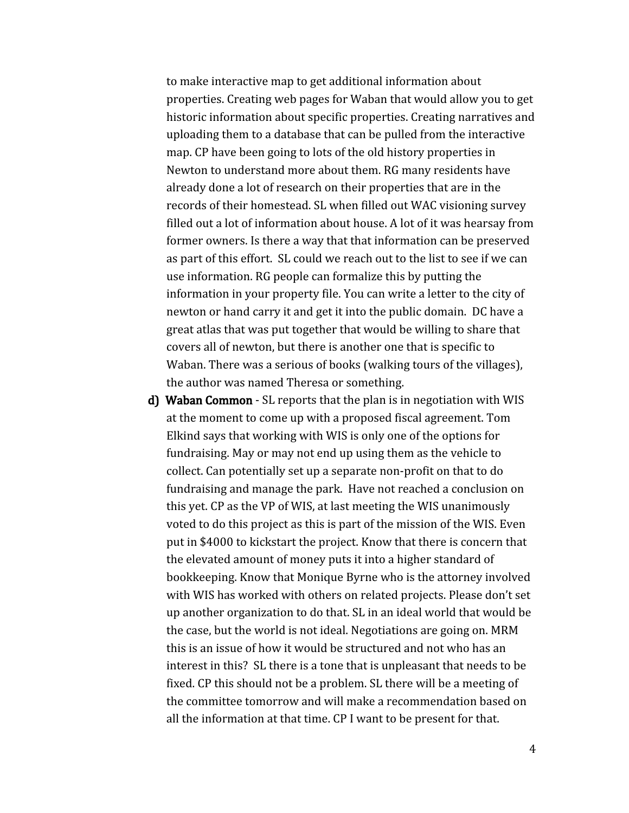to make interactive map to get additional information about properties. Creating web pages for Waban that would allow you to get historic information about specific properties. Creating narratives and uploading them to a database that can be pulled from the interactive map. CP have been going to lots of the old history properties in Newton to understand more about them. RG many residents have already done a lot of research on their properties that are in the records of their homestead. SL when filled out WAC visioning survey filled out a lot of information about house. A lot of it was hearsay from former owners. Is there a way that that information can be preserved as part of this effort. SL could we reach out to the list to see if we can use information. RG people can formalize this by putting the information in your property file. You can write a letter to the city of newton or hand carry it and get it into the public domain. DC have a great atlas that was put together that would be willing to share that covers all of newton, but there is another one that is specific to Waban. There was a serious of books (walking tours of the villages), the author was named Theresa or something.

d) Waban Common - SL reports that the plan is in negotiation with WIS at the moment to come up with a proposed fiscal agreement. Tom Elkind says that working with WIS is only one of the options for fundraising. May or may not end up using them as the vehicle to collect. Can potentially set up a separate non-profit on that to do fundraising and manage the park. Have not reached a conclusion on this yet. CP as the VP of WIS, at last meeting the WIS unanimously voted to do this project as this is part of the mission of the WIS. Even put in \$4000 to kickstart the project. Know that there is concern that the elevated amount of money puts it into a higher standard of bookkeeping. Know that Monique Byrne who is the attorney involved with WIS has worked with others on related projects. Please don't set up another organization to do that. SL in an ideal world that would be the case, but the world is not ideal. Negotiations are going on. MRM this is an issue of how it would be structured and not who has an interest in this? SL there is a tone that is unpleasant that needs to be fixed. CP this should not be a problem. SL there will be a meeting of the committee tomorrow and will make a recommendation based on all the information at that time. CP I want to be present for that.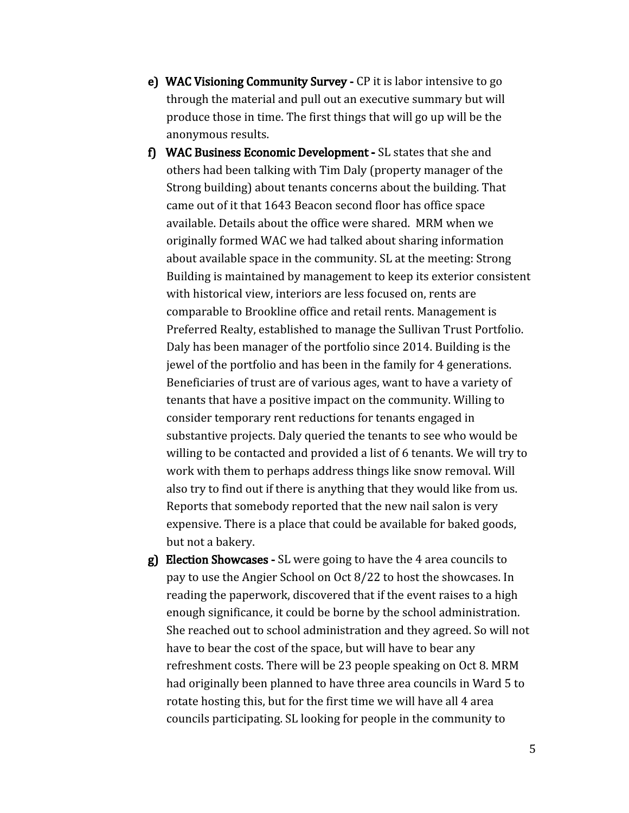- e) WAC Visioning Community Survey CP it is labor intensive to go through the material and pull out an executive summary but will produce those in time. The first things that will go up will be the anonymous results.
- f) WAC Business Economic Development SL states that she and others had been talking with Tim Daly (property manager of the Strong building) about tenants concerns about the building. That came out of it that 1643 Beacon second floor has office space available. Details about the office were shared. MRM when we originally formed WAC we had talked about sharing information about available space in the community. SL at the meeting: Strong Building is maintained by management to keep its exterior consistent with historical view, interiors are less focused on, rents are comparable to Brookline office and retail rents. Management is Preferred Realty, established to manage the Sullivan Trust Portfolio. Daly has been manager of the portfolio since 2014. Building is the jewel of the portfolio and has been in the family for 4 generations. Beneficiaries of trust are of various ages, want to have a variety of tenants that have a positive impact on the community. Willing to consider temporary rent reductions for tenants engaged in substantive projects. Daly queried the tenants to see who would be willing to be contacted and provided a list of 6 tenants. We will try to work with them to perhaps address things like snow removal. Will also try to find out if there is anything that they would like from us. Reports that somebody reported that the new nail salon is very expensive. There is a place that could be available for baked goods, but not a bakery.
- g) Election Showcases SL were going to have the 4 area councils to pay to use the Angier School on Oct 8/22 to host the showcases. In reading the paperwork, discovered that if the event raises to a high enough significance, it could be borne by the school administration. She reached out to school administration and they agreed. So will not have to bear the cost of the space, but will have to bear any refreshment costs. There will be 23 people speaking on Oct 8. MRM had originally been planned to have three area councils in Ward 5 to rotate hosting this, but for the first time we will have all 4 area councils participating. SL looking for people in the community to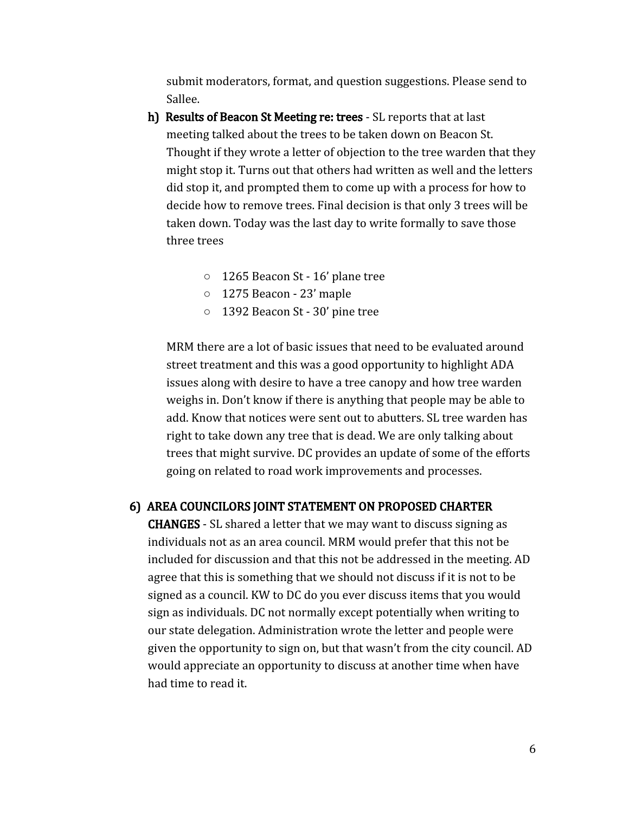submit moderators, format, and question suggestions. Please send to Sallee.

- h) Results of Beacon St Meeting re: trees SL reports that at last meeting talked about the trees to be taken down on Beacon St. Thought if they wrote a letter of objection to the tree warden that they might stop it. Turns out that others had written as well and the letters did stop it, and prompted them to come up with a process for how to decide how to remove trees. Final decision is that only 3 trees will be taken down. Today was the last day to write formally to save those three trees
	- **○** 1265 Beacon St 16' plane tree
	- **○** 1275 Beacon 23' maple
	- **○** 1392 Beacon St 30' pine tree

MRM there are a lot of basic issues that need to be evaluated around street treatment and this was a good opportunity to highlight ADA issues along with desire to have a tree canopy and how tree warden weighs in. Don't know if there is anything that people may be able to add. Know that notices were sent out to abutters. SL tree warden has right to take down any tree that is dead. We are only talking about trees that might survive. DC provides an update of some of the efforts going on related to road work improvements and processes.

#### 6) AREA COUNCILORS JOINT STATEMENT ON PROPOSED CHARTER

CHANGES - SL shared a letter that we may want to discuss signing as individuals not as an area council. MRM would prefer that this not be included for discussion and that this not be addressed in the meeting. AD agree that this is something that we should not discuss if it is not to be signed as a council. KW to DC do you ever discuss items that you would sign as individuals. DC not normally except potentially when writing to our state delegation. Administration wrote the letter and people were given the opportunity to sign on, but that wasn't from the city council. AD would appreciate an opportunity to discuss at another time when have had time to read it.